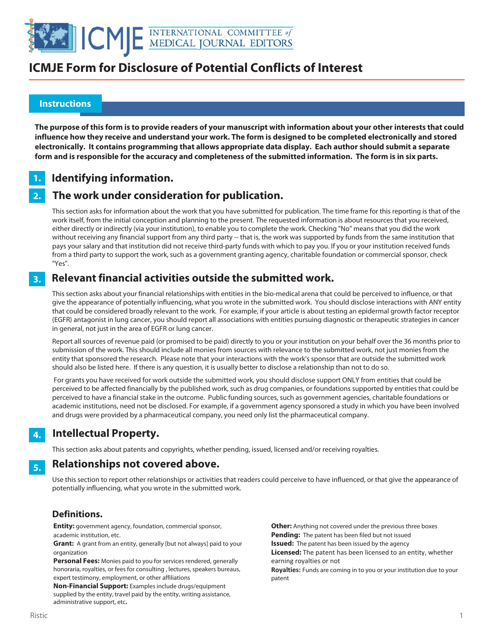

### **Instructions**

 

> **The purpose of this form is to provide readers of your manuscript with information about your other interests that could influence how they receive and understand your work. The form is designed to be completed electronically and stored electronically. It contains programming that allows appropriate data display. Each author should submit a separate form and is responsible for the accuracy and completeness of the submitted information. The form is in six parts.**

### **Identifying information. 1.**

### **The work under consideration for publication. 2.**

This section asks for information about the work that you have submitted for publication. The time frame for this reporting is that of the work itself, from the initial conception and planning to the present. The requested information is about resources that you received, either directly or indirectly (via your institution), to enable you to complete the work. Checking "No" means that you did the work without receiving any financial support from any third party -- that is, the work was supported by funds from the same institution that pays your salary and that institution did not receive third-party funds with which to pay you. If you or your institution received funds from a third party to support the work, such as a government granting agency, charitable foundation or commercial sponsor, check "Yes".

#### **Relevant financial activities outside the submitted work. 3.**

This section asks about your financial relationships with entities in the bio-medical arena that could be perceived to influence, or that give the appearance of potentially influencing, what you wrote in the submitted work. You should disclose interactions with ANY entity that could be considered broadly relevant to the work. For example, if your article is about testing an epidermal growth factor receptor (EGFR) antagonist in lung cancer, you should report all associations with entities pursuing diagnostic or therapeutic strategies in cancer in general, not just in the area of EGFR or lung cancer.

Report all sources of revenue paid (or promised to be paid) directly to you or your institution on your behalf over the 36 months prior to submission of the work. This should include all monies from sources with relevance to the submitted work, not just monies from the entity that sponsored the research. Please note that your interactions with the work's sponsor that are outside the submitted work should also be listed here. If there is any question, it is usually better to disclose a relationship than not to do so.

 For grants you have received for work outside the submitted work, you should disclose support ONLY from entities that could be perceived to be affected financially by the published work, such as drug companies, or foundations supported by entities that could be perceived to have a financial stake in the outcome. Public funding sources, such as government agencies, charitable foundations or academic institutions, need not be disclosed. For example, if a government agency sponsored a study in which you have been involved and drugs were provided by a pharmaceutical company, you need only list the pharmaceutical company.

### **Intellectual Property. 4.**

This section asks about patents and copyrights, whether pending, issued, licensed and/or receiving royalties.

#### **Relationships not covered above. 5.**

Use this section to report other relationships or activities that readers could perceive to have influenced, or that give the appearance of potentially influencing, what you wrote in the submitted work.

### **Definitions.**

**Entity:** government agency, foundation, commercial sponsor, academic institution, etc.

**Grant:** A grant from an entity, generally [but not always] paid to your organization

**Personal Fees:** Monies paid to you for services rendered, generally honoraria, royalties, or fees for consulting , lectures, speakers bureaus, expert testimony, employment, or other affiliations

**Non-Financial Support:** Examples include drugs/equipment supplied by the entity, travel paid by the entity, writing assistance, administrative support, etc**.**

**Other:** Anything not covered under the previous three boxes **Pending:** The patent has been filed but not issued **Issued:** The patent has been issued by the agency **Licensed:** The patent has been licensed to an entity, whether earning royalties or not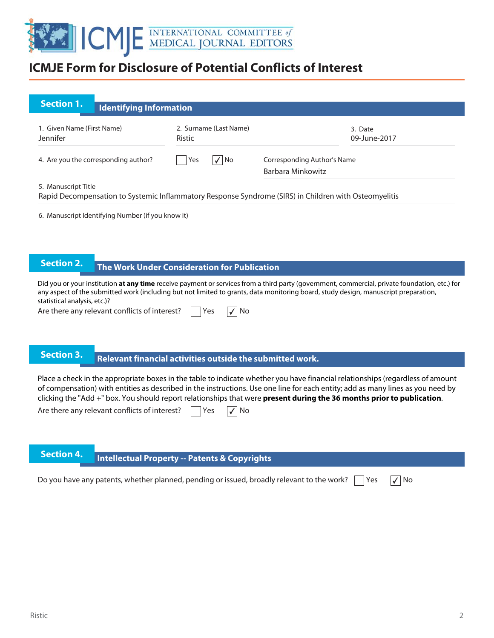

| <b>Section 1.</b><br><b>Identifying Information</b>                                                                                                                                                                                                                                                                                                                                                                                                                |                                  |                                                  |  |  |
|--------------------------------------------------------------------------------------------------------------------------------------------------------------------------------------------------------------------------------------------------------------------------------------------------------------------------------------------------------------------------------------------------------------------------------------------------------------------|----------------------------------|--------------------------------------------------|--|--|
| 1. Given Name (First Name)<br>Jennifer                                                                                                                                                                                                                                                                                                                                                                                                                             | 2. Surname (Last Name)<br>Ristic | 3. Date<br>09-June-2017                          |  |  |
| 4. Are you the corresponding author?                                                                                                                                                                                                                                                                                                                                                                                                                               | $\sqrt{ N_{0}}$<br>Yes           | Corresponding Author's Name<br>Barbara Minkowitz |  |  |
| 5. Manuscript Title<br>Rapid Decompensation to Systemic Inflammatory Response Syndrome (SIRS) in Children with Osteomyelitis                                                                                                                                                                                                                                                                                                                                       |                                  |                                                  |  |  |
| 6. Manuscript Identifying Number (if you know it)                                                                                                                                                                                                                                                                                                                                                                                                                  |                                  |                                                  |  |  |
|                                                                                                                                                                                                                                                                                                                                                                                                                                                                    |                                  |                                                  |  |  |
|                                                                                                                                                                                                                                                                                                                                                                                                                                                                    |                                  |                                                  |  |  |
| <b>Section 2.</b>                                                                                                                                                                                                                                                                                                                                                                                                                                                  |                                  |                                                  |  |  |
| <b>The Work Under Consideration for Publication</b><br>Did you or your institution at any time receive payment or services from a third party (government, commercial, private foundation, etc.) for<br>any aspect of the submitted work (including but not limited to grants, data monitoring board, study design, manuscript preparation,<br>statistical analysis, etc.)?<br>Are there any relevant conflicts of interest?<br>Yes<br>$\sqrt{ NQ}$                |                                  |                                                  |  |  |
| <b>Section 3.</b><br>Relevant financial activities outside the submitted work.                                                                                                                                                                                                                                                                                                                                                                                     |                                  |                                                  |  |  |
| Place a check in the appropriate boxes in the table to indicate whether you have financial relationships (regardless of amount<br>of compensation) with entities as described in the instructions. Use one line for each entity; add as many lines as you need by<br>clicking the "Add +" box. You should report relationships that were present during the 36 months prior to publication.<br>Are there any relevant conflicts of interest?<br>$\sqrt{ N}$<br>Yes |                                  |                                                  |  |  |

**Intellectual Property -- Patents & Copyrights**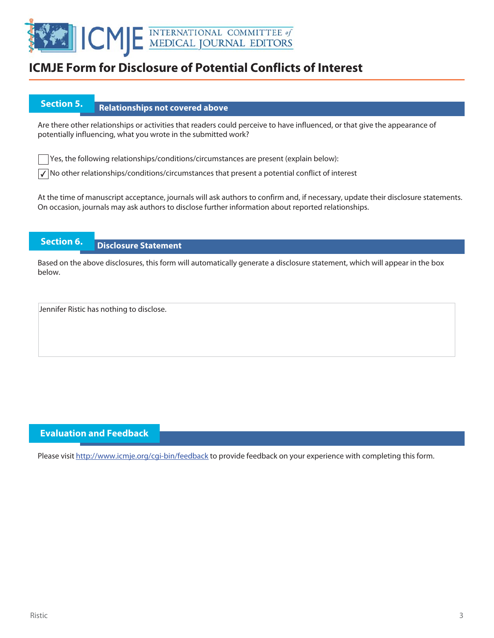

## **Section 5.** Relationships not covered above

Are there other relationships or activities that readers could perceive to have influenced, or that give the appearance of potentially influencing, what you wrote in the submitted work?

Yes, the following relationships/conditions/circumstances are present (explain below):

 $\sqrt{\ }$  No other relationships/conditions/circumstances that present a potential conflict of interest

At the time of manuscript acceptance, journals will ask authors to confirm and, if necessary, update their disclosure statements. On occasion, journals may ask authors to disclose further information about reported relationships.

### **Section 6. Disclosure Statement**

Based on the above disclosures, this form will automatically generate a disclosure statement, which will appear in the box below.

Jennifer Ristic has nothing to disclose.

### **Evaluation and Feedback**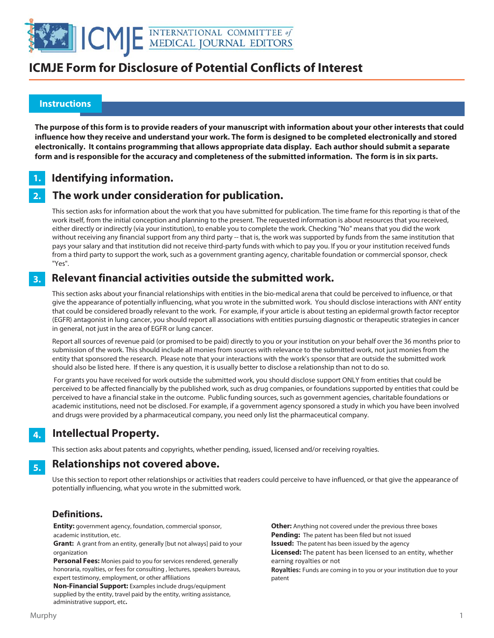

### **Instructions**

 

> **The purpose of this form is to provide readers of your manuscript with information about your other interests that could influence how they receive and understand your work. The form is designed to be completed electronically and stored electronically. It contains programming that allows appropriate data display. Each author should submit a separate form and is responsible for the accuracy and completeness of the submitted information. The form is in six parts.**

### **Identifying information. 1.**

### **The work under consideration for publication. 2.**

This section asks for information about the work that you have submitted for publication. The time frame for this reporting is that of the work itself, from the initial conception and planning to the present. The requested information is about resources that you received, either directly or indirectly (via your institution), to enable you to complete the work. Checking "No" means that you did the work without receiving any financial support from any third party -- that is, the work was supported by funds from the same institution that pays your salary and that institution did not receive third-party funds with which to pay you. If you or your institution received funds from a third party to support the work, such as a government granting agency, charitable foundation or commercial sponsor, check "Yes".

#### **Relevant financial activities outside the submitted work. 3.**

This section asks about your financial relationships with entities in the bio-medical arena that could be perceived to influence, or that give the appearance of potentially influencing, what you wrote in the submitted work. You should disclose interactions with ANY entity that could be considered broadly relevant to the work. For example, if your article is about testing an epidermal growth factor receptor (EGFR) antagonist in lung cancer, you should report all associations with entities pursuing diagnostic or therapeutic strategies in cancer in general, not just in the area of EGFR or lung cancer.

Report all sources of revenue paid (or promised to be paid) directly to you or your institution on your behalf over the 36 months prior to submission of the work. This should include all monies from sources with relevance to the submitted work, not just monies from the entity that sponsored the research. Please note that your interactions with the work's sponsor that are outside the submitted work should also be listed here. If there is any question, it is usually better to disclose a relationship than not to do so.

 For grants you have received for work outside the submitted work, you should disclose support ONLY from entities that could be perceived to be affected financially by the published work, such as drug companies, or foundations supported by entities that could be perceived to have a financial stake in the outcome. Public funding sources, such as government agencies, charitable foundations or academic institutions, need not be disclosed. For example, if a government agency sponsored a study in which you have been involved and drugs were provided by a pharmaceutical company, you need only list the pharmaceutical company.

### **Intellectual Property. 4.**

This section asks about patents and copyrights, whether pending, issued, licensed and/or receiving royalties.

#### **Relationships not covered above. 5.**

Use this section to report other relationships or activities that readers could perceive to have influenced, or that give the appearance of potentially influencing, what you wrote in the submitted work.

### **Definitions.**

**Entity:** government agency, foundation, commercial sponsor, academic institution, etc.

**Grant:** A grant from an entity, generally [but not always] paid to your organization

**Personal Fees:** Monies paid to you for services rendered, generally honoraria, royalties, or fees for consulting , lectures, speakers bureaus, expert testimony, employment, or other affiliations

**Non-Financial Support:** Examples include drugs/equipment supplied by the entity, travel paid by the entity, writing assistance, administrative support, etc**.**

**Other:** Anything not covered under the previous three boxes **Pending:** The patent has been filed but not issued **Issued:** The patent has been issued by the agency **Licensed:** The patent has been licensed to an entity, whether earning royalties or not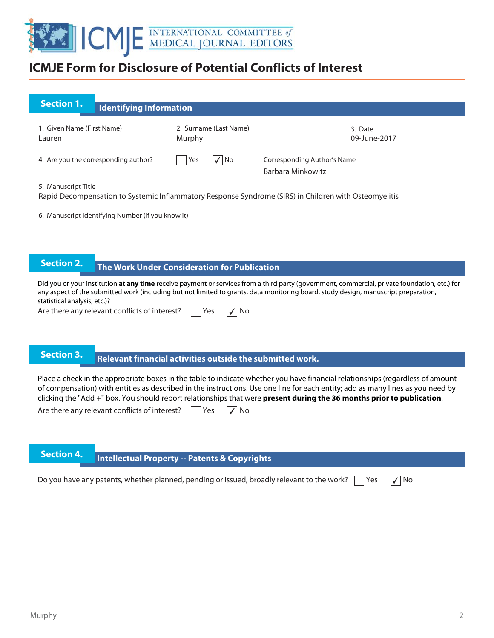

| <b>Section 1.</b><br><b>Identifying Information</b>                                                                                                                                                                                                                                                                                                                                                                                                       |                                                     |                                                                                                       |  |  |
|-----------------------------------------------------------------------------------------------------------------------------------------------------------------------------------------------------------------------------------------------------------------------------------------------------------------------------------------------------------------------------------------------------------------------------------------------------------|-----------------------------------------------------|-------------------------------------------------------------------------------------------------------|--|--|
| 1. Given Name (First Name)<br>Lauren                                                                                                                                                                                                                                                                                                                                                                                                                      | 2. Surname (Last Name)<br>Murphy                    | 3. Date<br>09-June-2017                                                                               |  |  |
| 4. Are you the corresponding author?                                                                                                                                                                                                                                                                                                                                                                                                                      | No<br>Yes                                           | Corresponding Author's Name<br>Barbara Minkowitz                                                      |  |  |
| 5. Manuscript Title                                                                                                                                                                                                                                                                                                                                                                                                                                       |                                                     | Rapid Decompensation to Systemic Inflammatory Response Syndrome (SIRS) in Children with Osteomyelitis |  |  |
| 6. Manuscript Identifying Number (if you know it)                                                                                                                                                                                                                                                                                                                                                                                                         |                                                     |                                                                                                       |  |  |
|                                                                                                                                                                                                                                                                                                                                                                                                                                                           |                                                     |                                                                                                       |  |  |
| <b>Section 2.</b>                                                                                                                                                                                                                                                                                                                                                                                                                                         | <b>The Work Under Consideration for Publication</b> |                                                                                                       |  |  |
| Did you or your institution at any time receive payment or services from a third party (government, commercial, private foundation, etc.) for<br>any aspect of the submitted work (including but not limited to grants, data monitoring board, study design, manuscript preparation,                                                                                                                                                                      |                                                     |                                                                                                       |  |  |
| statistical analysis, etc.)?<br>Are there any relevant conflicts of interest?<br>Yes<br>No                                                                                                                                                                                                                                                                                                                                                                |                                                     |                                                                                                       |  |  |
|                                                                                                                                                                                                                                                                                                                                                                                                                                                           |                                                     |                                                                                                       |  |  |
| <b>Section 3.</b><br>Relevant financial activities outside the submitted work.                                                                                                                                                                                                                                                                                                                                                                            |                                                     |                                                                                                       |  |  |
| Place a check in the appropriate boxes in the table to indicate whether you have financial relationships (regardless of amount<br>of compensation) with entities as described in the instructions. Use one line for each entity; add as many lines as you need by<br>clicking the "Add +" box. You should report relationships that were present during the 36 months prior to publication.<br>Are there any relevant conflicts of interest?<br>Yes<br>No |                                                     |                                                                                                       |  |  |
|                                                                                                                                                                                                                                                                                                                                                                                                                                                           |                                                     |                                                                                                       |  |  |
| $C$ <i>n</i> -tinu A                                                                                                                                                                                                                                                                                                                                                                                                                                      |                                                     |                                                                                                       |  |  |

**Intellectual Property -- Patents & Copyrights**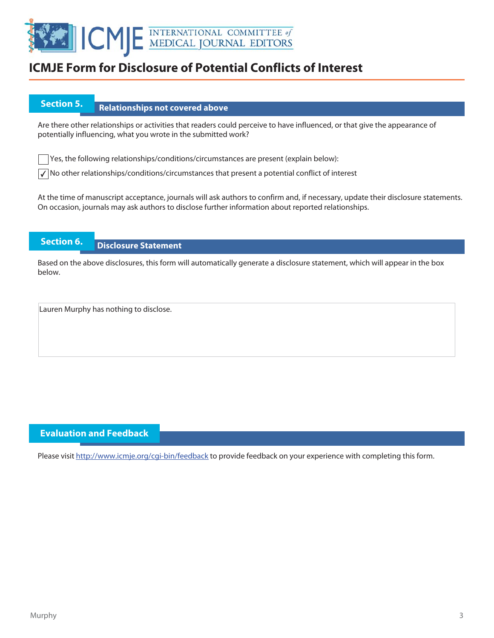

## **Section 5.** Relationships not covered above

Are there other relationships or activities that readers could perceive to have influenced, or that give the appearance of potentially influencing, what you wrote in the submitted work?

Yes, the following relationships/conditions/circumstances are present (explain below):

 $\sqrt{\ }$  No other relationships/conditions/circumstances that present a potential conflict of interest

At the time of manuscript acceptance, journals will ask authors to confirm and, if necessary, update their disclosure statements. On occasion, journals may ask authors to disclose further information about reported relationships.

### **Section 6. Disclosure Statement**

Based on the above disclosures, this form will automatically generate a disclosure statement, which will appear in the box below.

Lauren Murphy has nothing to disclose.

### **Evaluation and Feedback**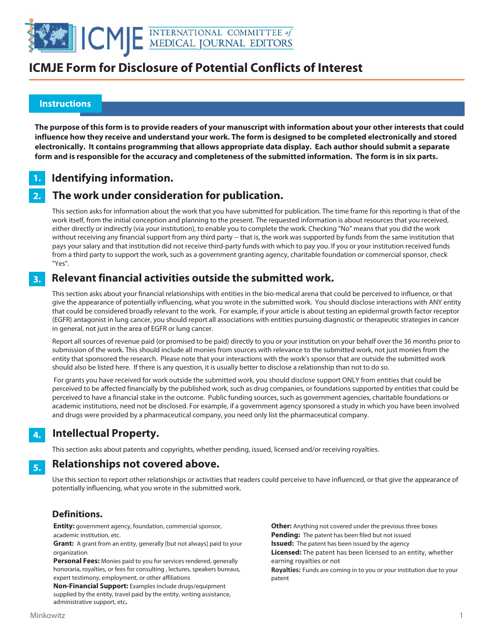

### **Instructions**

 

> **The purpose of this form is to provide readers of your manuscript with information about your other interests that could influence how they receive and understand your work. The form is designed to be completed electronically and stored electronically. It contains programming that allows appropriate data display. Each author should submit a separate form and is responsible for the accuracy and completeness of the submitted information. The form is in six parts.**

### **Identifying information. 1.**

### **The work under consideration for publication. 2.**

This section asks for information about the work that you have submitted for publication. The time frame for this reporting is that of the work itself, from the initial conception and planning to the present. The requested information is about resources that you received, either directly or indirectly (via your institution), to enable you to complete the work. Checking "No" means that you did the work without receiving any financial support from any third party -- that is, the work was supported by funds from the same institution that pays your salary and that institution did not receive third-party funds with which to pay you. If you or your institution received funds from a third party to support the work, such as a government granting agency, charitable foundation or commercial sponsor, check "Yes".

#### **Relevant financial activities outside the submitted work. 3.**

This section asks about your financial relationships with entities in the bio-medical arena that could be perceived to influence, or that give the appearance of potentially influencing, what you wrote in the submitted work. You should disclose interactions with ANY entity that could be considered broadly relevant to the work. For example, if your article is about testing an epidermal growth factor receptor (EGFR) antagonist in lung cancer, you should report all associations with entities pursuing diagnostic or therapeutic strategies in cancer in general, not just in the area of EGFR or lung cancer.

Report all sources of revenue paid (or promised to be paid) directly to you or your institution on your behalf over the 36 months prior to submission of the work. This should include all monies from sources with relevance to the submitted work, not just monies from the entity that sponsored the research. Please note that your interactions with the work's sponsor that are outside the submitted work should also be listed here. If there is any question, it is usually better to disclose a relationship than not to do so.

 For grants you have received for work outside the submitted work, you should disclose support ONLY from entities that could be perceived to be affected financially by the published work, such as drug companies, or foundations supported by entities that could be perceived to have a financial stake in the outcome. Public funding sources, such as government agencies, charitable foundations or academic institutions, need not be disclosed. For example, if a government agency sponsored a study in which you have been involved and drugs were provided by a pharmaceutical company, you need only list the pharmaceutical company.

### **Intellectual Property. 4.**

This section asks about patents and copyrights, whether pending, issued, licensed and/or receiving royalties.

#### **Relationships not covered above. 5.**

Use this section to report other relationships or activities that readers could perceive to have influenced, or that give the appearance of potentially influencing, what you wrote in the submitted work.

### **Definitions.**

**Entity:** government agency, foundation, commercial sponsor, academic institution, etc.

**Grant:** A grant from an entity, generally [but not always] paid to your organization

**Personal Fees:** Monies paid to you for services rendered, generally honoraria, royalties, or fees for consulting , lectures, speakers bureaus, expert testimony, employment, or other affiliations

**Non-Financial Support:** Examples include drugs/equipment supplied by the entity, travel paid by the entity, writing assistance, administrative support, etc**.**

**Other:** Anything not covered under the previous three boxes **Pending:** The patent has been filed but not issued **Issued:** The patent has been issued by the agency **Licensed:** The patent has been licensed to an entity, whether earning royalties or not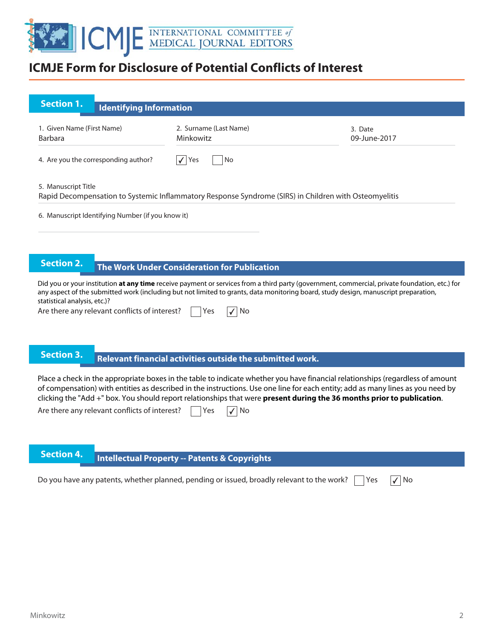

| <b>Section 1.</b><br><b>Identifying Information</b>                                                                                                                                                                                                                                                                                                                                           |                                                           |                         |  |  |
|-----------------------------------------------------------------------------------------------------------------------------------------------------------------------------------------------------------------------------------------------------------------------------------------------------------------------------------------------------------------------------------------------|-----------------------------------------------------------|-------------------------|--|--|
| 1. Given Name (First Name)<br><b>Barbara</b>                                                                                                                                                                                                                                                                                                                                                  | 2. Surname (Last Name)<br>Minkowitz                       | 3. Date<br>09-June-2017 |  |  |
| 4. Are you the corresponding author?                                                                                                                                                                                                                                                                                                                                                          | No<br>Yes                                                 |                         |  |  |
| 5. Manuscript Title<br>Rapid Decompensation to Systemic Inflammatory Response Syndrome (SIRS) in Children with Osteomyelitis                                                                                                                                                                                                                                                                  |                                                           |                         |  |  |
| 6. Manuscript Identifying Number (if you know it)                                                                                                                                                                                                                                                                                                                                             |                                                           |                         |  |  |
|                                                                                                                                                                                                                                                                                                                                                                                               |                                                           |                         |  |  |
| <b>Section 2.</b>                                                                                                                                                                                                                                                                                                                                                                             | The Work Under Consideration for Publication              |                         |  |  |
| Did you or your institution at any time receive payment or services from a third party (government, commercial, private foundation, etc.) for<br>any aspect of the submitted work (including but not limited to grants, data monitoring board, study design, manuscript preparation,<br>statistical analysis, etc.)?<br>Are there any relevant conflicts of interest?<br>Yes<br>$\sqrt{ }$ No |                                                           |                         |  |  |
|                                                                                                                                                                                                                                                                                                                                                                                               |                                                           |                         |  |  |
| <b>Section 3.</b>                                                                                                                                                                                                                                                                                                                                                                             | Relevant financial activities outside the submitted work. |                         |  |  |
| Place a check in the appropriate boxes in the table to indicate whether you have financial relationships (regardless of amount<br>of compensation) with entities as described in the instructions. Use one line for each entity; add as many lines as you need by<br>clicking the "Add +" box. You should report relationships that were present during the 36 months prior to publication.   |                                                           |                         |  |  |
| Are there any relevant conflicts of interest?                                                                                                                                                                                                                                                                                                                                                 | $\sqrt{ N}$<br>Yes                                        |                         |  |  |

**Intellectual Property -- Patents & Copyrights**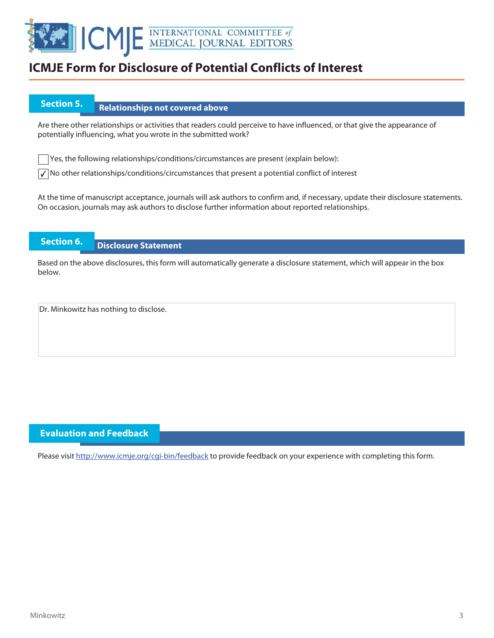

## **Section 5.** Relationships not covered above

Are there other relationships or activities that readers could perceive to have influenced, or that give the appearance of potentially influencing, what you wrote in the submitted work?

Yes, the following relationships/conditions/circumstances are present (explain below):

 $\sqrt{\ }$  No other relationships/conditions/circumstances that present a potential conflict of interest

At the time of manuscript acceptance, journals will ask authors to confirm and, if necessary, update their disclosure statements. On occasion, journals may ask authors to disclose further information about reported relationships.

### **Section 6. Disclosure Statement**

Based on the above disclosures, this form will automatically generate a disclosure statement, which will appear in the box below.

Dr. Minkowitz has nothing to disclose.

### **Evaluation and Feedback**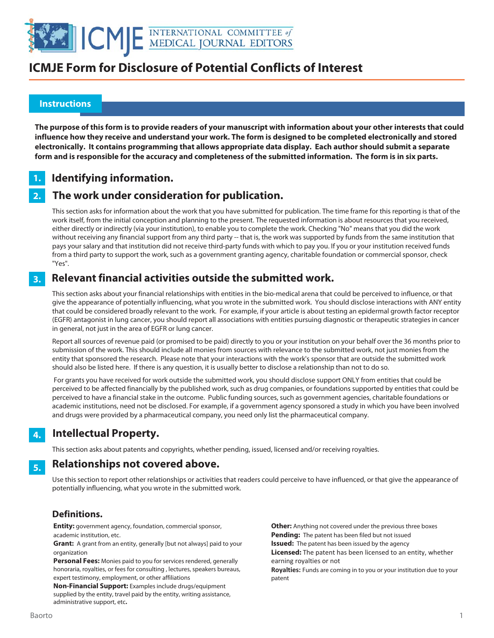

### **Instructions**

 

> **The purpose of this form is to provide readers of your manuscript with information about your other interests that could influence how they receive and understand your work. The form is designed to be completed electronically and stored electronically. It contains programming that allows appropriate data display. Each author should submit a separate form and is responsible for the accuracy and completeness of the submitted information. The form is in six parts.**

### **Identifying information. 1.**

### **The work under consideration for publication. 2.**

This section asks for information about the work that you have submitted for publication. The time frame for this reporting is that of the work itself, from the initial conception and planning to the present. The requested information is about resources that you received, either directly or indirectly (via your institution), to enable you to complete the work. Checking "No" means that you did the work without receiving any financial support from any third party -- that is, the work was supported by funds from the same institution that pays your salary and that institution did not receive third-party funds with which to pay you. If you or your institution received funds from a third party to support the work, such as a government granting agency, charitable foundation or commercial sponsor, check "Yes".

#### **Relevant financial activities outside the submitted work. 3.**

This section asks about your financial relationships with entities in the bio-medical arena that could be perceived to influence, or that give the appearance of potentially influencing, what you wrote in the submitted work. You should disclose interactions with ANY entity that could be considered broadly relevant to the work. For example, if your article is about testing an epidermal growth factor receptor (EGFR) antagonist in lung cancer, you should report all associations with entities pursuing diagnostic or therapeutic strategies in cancer in general, not just in the area of EGFR or lung cancer.

Report all sources of revenue paid (or promised to be paid) directly to you or your institution on your behalf over the 36 months prior to submission of the work. This should include all monies from sources with relevance to the submitted work, not just monies from the entity that sponsored the research. Please note that your interactions with the work's sponsor that are outside the submitted work should also be listed here. If there is any question, it is usually better to disclose a relationship than not to do so.

 For grants you have received for work outside the submitted work, you should disclose support ONLY from entities that could be perceived to be affected financially by the published work, such as drug companies, or foundations supported by entities that could be perceived to have a financial stake in the outcome. Public funding sources, such as government agencies, charitable foundations or academic institutions, need not be disclosed. For example, if a government agency sponsored a study in which you have been involved and drugs were provided by a pharmaceutical company, you need only list the pharmaceutical company.

### **Intellectual Property. 4.**

This section asks about patents and copyrights, whether pending, issued, licensed and/or receiving royalties.

#### **Relationships not covered above. 5.**

Use this section to report other relationships or activities that readers could perceive to have influenced, or that give the appearance of potentially influencing, what you wrote in the submitted work.

### **Definitions.**

**Entity:** government agency, foundation, commercial sponsor, academic institution, etc.

**Grant:** A grant from an entity, generally [but not always] paid to your organization

**Personal Fees:** Monies paid to you for services rendered, generally honoraria, royalties, or fees for consulting , lectures, speakers bureaus, expert testimony, employment, or other affiliations

**Non-Financial Support:** Examples include drugs/equipment supplied by the entity, travel paid by the entity, writing assistance, administrative support, etc**.**

**Other:** Anything not covered under the previous three boxes **Pending:** The patent has been filed but not issued **Issued:** The patent has been issued by the agency **Licensed:** The patent has been licensed to an entity, whether earning royalties or not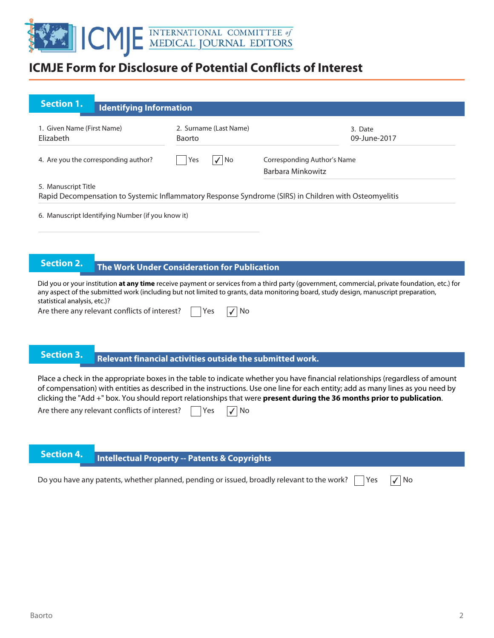

| <b>Section 1.</b><br><b>Identifying Information</b>                                                                                                                                                                                                                                                                                                                                                                                                                  |                                                           |                                                  |  |  |
|----------------------------------------------------------------------------------------------------------------------------------------------------------------------------------------------------------------------------------------------------------------------------------------------------------------------------------------------------------------------------------------------------------------------------------------------------------------------|-----------------------------------------------------------|--------------------------------------------------|--|--|
| 1. Given Name (First Name)<br>Elizabeth                                                                                                                                                                                                                                                                                                                                                                                                                              | 2. Surname (Last Name)<br><b>Baorto</b>                   | 3. Date<br>09-June-2017                          |  |  |
| 4. Are you the corresponding author?                                                                                                                                                                                                                                                                                                                                                                                                                                 | $\sqrt{ NQ}$<br>Yes                                       | Corresponding Author's Name<br>Barbara Minkowitz |  |  |
| 5. Manuscript Title<br>Rapid Decompensation to Systemic Inflammatory Response Syndrome (SIRS) in Children with Osteomyelitis                                                                                                                                                                                                                                                                                                                                         |                                                           |                                                  |  |  |
| 6. Manuscript Identifying Number (if you know it)                                                                                                                                                                                                                                                                                                                                                                                                                    |                                                           |                                                  |  |  |
|                                                                                                                                                                                                                                                                                                                                                                                                                                                                      |                                                           |                                                  |  |  |
|                                                                                                                                                                                                                                                                                                                                                                                                                                                                      |                                                           |                                                  |  |  |
| <b>Section 2.</b>                                                                                                                                                                                                                                                                                                                                                                                                                                                    | The Work Under Consideration for Publication              |                                                  |  |  |
| Did you or your institution at any time receive payment or services from a third party (government, commercial, private foundation, etc.) for<br>any aspect of the submitted work (including but not limited to grants, data monitoring board, study design, manuscript preparation,<br>statistical analysis, etc.)?<br>Are there any relevant conflicts of interest?<br>Yes<br>$\sqrt{ }$ No                                                                        |                                                           |                                                  |  |  |
| <b>Section 3.</b>                                                                                                                                                                                                                                                                                                                                                                                                                                                    | Relevant financial activities outside the submitted work. |                                                  |  |  |
| Place a check in the appropriate boxes in the table to indicate whether you have financial relationships (regardless of amount<br>of compensation) with entities as described in the instructions. Use one line for each entity; add as many lines as you need by<br>clicking the "Add +" box. You should report relationships that were present during the 36 months prior to publication.<br>Are there any relevant conflicts of interest?<br>$\sqrt{ }$ No<br>Yes |                                                           |                                                  |  |  |

**Intellectual Property -- Patents & Copyrights**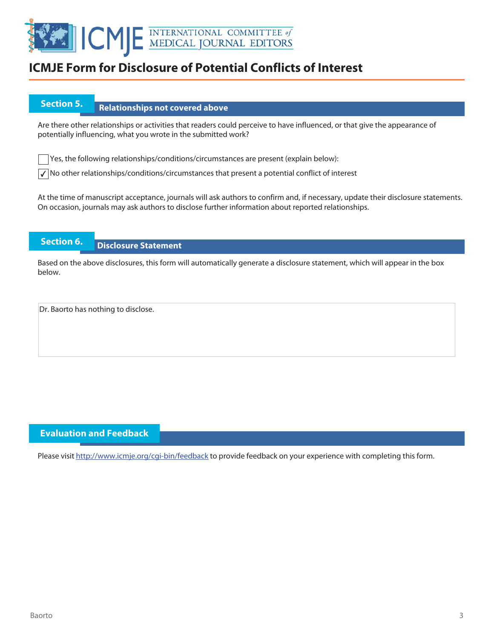

## **Section 5.** Relationships not covered above

Are there other relationships or activities that readers could perceive to have influenced, or that give the appearance of potentially influencing, what you wrote in the submitted work?

Yes, the following relationships/conditions/circumstances are present (explain below):

 $\sqrt{\ }$  No other relationships/conditions/circumstances that present a potential conflict of interest

At the time of manuscript acceptance, journals will ask authors to confirm and, if necessary, update their disclosure statements. On occasion, journals may ask authors to disclose further information about reported relationships.

### **Section 6. Disclosure Statement**

Based on the above disclosures, this form will automatically generate a disclosure statement, which will appear in the box below.

Dr. Baorto has nothing to disclose.

### **Evaluation and Feedback**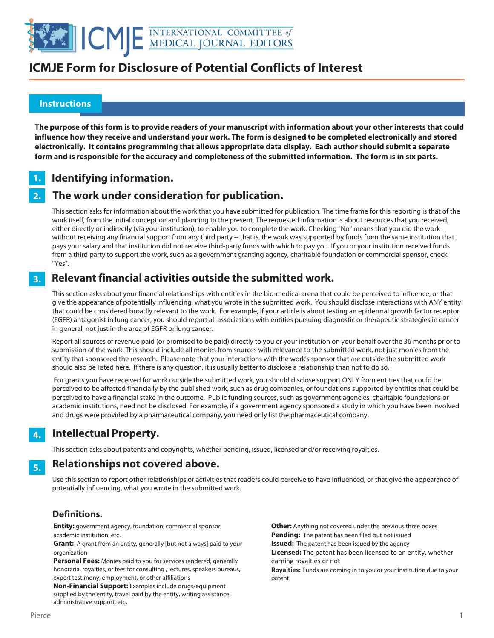

### **Instructions**

 

> **The purpose of this form is to provide readers of your manuscript with information about your other interests that could influence how they receive and understand your work. The form is designed to be completed electronically and stored electronically. It contains programming that allows appropriate data display. Each author should submit a separate form and is responsible for the accuracy and completeness of the submitted information. The form is in six parts.**

### **Identifying information. 1.**

### **The work under consideration for publication. 2.**

This section asks for information about the work that you have submitted for publication. The time frame for this reporting is that of the work itself, from the initial conception and planning to the present. The requested information is about resources that you received, either directly or indirectly (via your institution), to enable you to complete the work. Checking "No" means that you did the work without receiving any financial support from any third party -- that is, the work was supported by funds from the same institution that pays your salary and that institution did not receive third-party funds with which to pay you. If you or your institution received funds from a third party to support the work, such as a government granting agency, charitable foundation or commercial sponsor, check "Yes".

#### **Relevant financial activities outside the submitted work. 3.**

This section asks about your financial relationships with entities in the bio-medical arena that could be perceived to influence, or that give the appearance of potentially influencing, what you wrote in the submitted work. You should disclose interactions with ANY entity that could be considered broadly relevant to the work. For example, if your article is about testing an epidermal growth factor receptor (EGFR) antagonist in lung cancer, you should report all associations with entities pursuing diagnostic or therapeutic strategies in cancer in general, not just in the area of EGFR or lung cancer.

Report all sources of revenue paid (or promised to be paid) directly to you or your institution on your behalf over the 36 months prior to submission of the work. This should include all monies from sources with relevance to the submitted work, not just monies from the entity that sponsored the research. Please note that your interactions with the work's sponsor that are outside the submitted work should also be listed here. If there is any question, it is usually better to disclose a relationship than not to do so.

 For grants you have received for work outside the submitted work, you should disclose support ONLY from entities that could be perceived to be affected financially by the published work, such as drug companies, or foundations supported by entities that could be perceived to have a financial stake in the outcome. Public funding sources, such as government agencies, charitable foundations or academic institutions, need not be disclosed. For example, if a government agency sponsored a study in which you have been involved and drugs were provided by a pharmaceutical company, you need only list the pharmaceutical company.

### **Intellectual Property. 4.**

This section asks about patents and copyrights, whether pending, issued, licensed and/or receiving royalties.

#### **Relationships not covered above. 5.**

Use this section to report other relationships or activities that readers could perceive to have influenced, or that give the appearance of potentially influencing, what you wrote in the submitted work.

### **Definitions.**

**Entity:** government agency, foundation, commercial sponsor, academic institution, etc.

**Grant:** A grant from an entity, generally [but not always] paid to your organization

**Personal Fees:** Monies paid to you for services rendered, generally honoraria, royalties, or fees for consulting , lectures, speakers bureaus, expert testimony, employment, or other affiliations

**Non-Financial Support:** Examples include drugs/equipment supplied by the entity, travel paid by the entity, writing assistance, administrative support, etc**.**

**Other:** Anything not covered under the previous three boxes **Pending:** The patent has been filed but not issued **Issued:** The patent has been issued by the agency **Licensed:** The patent has been licensed to an entity, whether earning royalties or not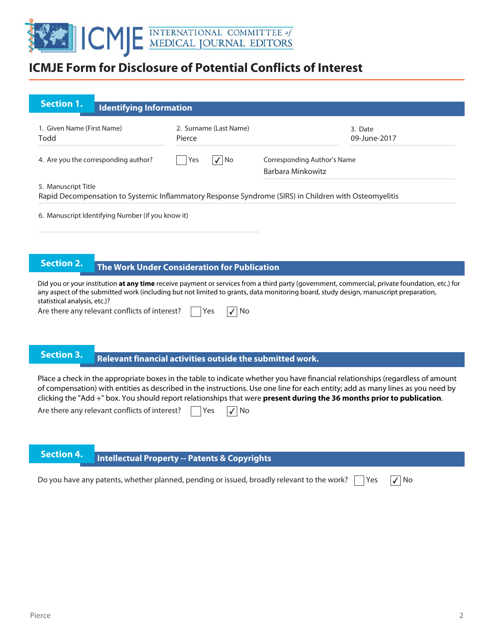

| <b>Section 1.</b><br><b>Identifying Information</b>                                                                                                                                                                                                                                                                                                                                                                                                                  |                                              |                                                  |  |  |
|----------------------------------------------------------------------------------------------------------------------------------------------------------------------------------------------------------------------------------------------------------------------------------------------------------------------------------------------------------------------------------------------------------------------------------------------------------------------|----------------------------------------------|--------------------------------------------------|--|--|
| 1. Given Name (First Name)<br>Todd                                                                                                                                                                                                                                                                                                                                                                                                                                   | 2. Surname (Last Name)<br>Pierce             | 3. Date<br>09-June-2017                          |  |  |
| 4. Are you the corresponding author?                                                                                                                                                                                                                                                                                                                                                                                                                                 | $\sqrt{ NQ}$<br>Yes                          | Corresponding Author's Name<br>Barbara Minkowitz |  |  |
| 5. Manuscript Title<br>Rapid Decompensation to Systemic Inflammatory Response Syndrome (SIRS) in Children with Osteomyelitis                                                                                                                                                                                                                                                                                                                                         |                                              |                                                  |  |  |
| 6. Manuscript Identifying Number (if you know it)                                                                                                                                                                                                                                                                                                                                                                                                                    |                                              |                                                  |  |  |
|                                                                                                                                                                                                                                                                                                                                                                                                                                                                      |                                              |                                                  |  |  |
|                                                                                                                                                                                                                                                                                                                                                                                                                                                                      |                                              |                                                  |  |  |
| <b>Section 2.</b>                                                                                                                                                                                                                                                                                                                                                                                                                                                    | The Work Under Consideration for Publication |                                                  |  |  |
| Did you or your institution at any time receive payment or services from a third party (government, commercial, private foundation, etc.) for<br>any aspect of the submitted work (including but not limited to grants, data monitoring board, study design, manuscript preparation,<br>statistical analysis, etc.)?<br>Are there any relevant conflicts of interest?<br>$\sqrt{ }$ No<br>Yes                                                                        |                                              |                                                  |  |  |
| <b>Section 3.</b>                                                                                                                                                                                                                                                                                                                                                                                                                                                    |                                              |                                                  |  |  |
| Relevant financial activities outside the submitted work.                                                                                                                                                                                                                                                                                                                                                                                                            |                                              |                                                  |  |  |
| Place a check in the appropriate boxes in the table to indicate whether you have financial relationships (regardless of amount<br>of compensation) with entities as described in the instructions. Use one line for each entity; add as many lines as you need by<br>clicking the "Add +" box. You should report relationships that were present during the 36 months prior to publication.<br>Are there any relevant conflicts of interest?<br>$\sqrt{ }$ No<br>Yes |                                              |                                                  |  |  |
|                                                                                                                                                                                                                                                                                                                                                                                                                                                                      |                                              |                                                  |  |  |

**Intellectual Property -- Patents & Copyrights**